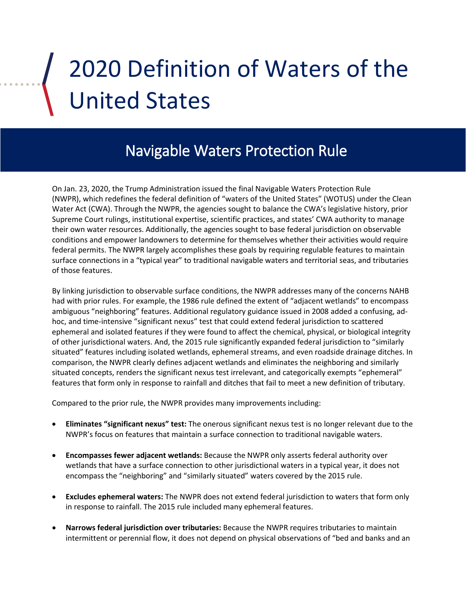# 2020 Definition of Waters of the United States

# Navigable Waters Protection Rule

On Jan. 23, 2020, the Trump Administration issued the final Navigable Waters Protection Rule (NWPR), which redefines the federal definition of "waters of the United States" (WOTUS) under the Clean Water Act (CWA). Through the NWPR, the agencies sought to balance the CWA's legislative history, prior Supreme Court rulings, institutional expertise, scientific practices, and states' CWA authority to manage their own water resources. Additionally, the agencies sought to base federal jurisdiction on observable conditions and empower landowners to determine for themselves whether their activities would require federal permits. The NWPR largely accomplishes these goals by requiring regulable features to maintain surface connections in a "typical year" to traditional navigable waters and territorial seas, and tributaries of those features.

By linking jurisdiction to observable surface conditions, the NWPR addresses many of the concerns NAHB had with prior rules. For example, the 1986 rule defined the extent of "adjacent wetlands" to encompass ambiguous "neighboring" features. Additional regulatory guidance issued in 2008 added a confusing, adhoc, and time-intensive "significant nexus" test that could extend federal jurisdiction to scattered ephemeral and isolated features if they were found to affect the chemical, physical, or biological integrity of other jurisdictional waters. And, the 2015 rule significantly expanded federal jurisdiction to "similarly situated" features including isolated wetlands, ephemeral streams, and even roadside drainage ditches. In comparison, the NWPR clearly defines adjacent wetlands and eliminates the neighboring and similarly situated concepts, renders the significant nexus test irrelevant, and categorically exempts "ephemeral" features that form only in response to rainfall and ditches that fail to meet a new definition of tributary.

Compared to the prior rule, the NWPR provides many improvements including:

- **Eliminates "significant nexus" test:** The onerous significant nexus test is no longer relevant due to the NWPR's focus on features that maintain a surface connection to traditional navigable waters.
- **Encompasses fewer adjacent wetlands:** Because the NWPR only asserts federal authority over wetlands that have a surface connection to other jurisdictional waters in a typical year, it does not encompass the "neighboring" and "similarly situated" waters covered by the 2015 rule.
- **Excludes ephemeral waters:** The NWPR does not extend federal jurisdiction to waters that form only in response to rainfall. The 2015 rule included many ephemeral features.
- **Narrows federal jurisdiction over tributaries:** Because the NWPR requires tributaries to maintain intermittent or perennial flow, it does not depend on physical observations of "bed and banks and an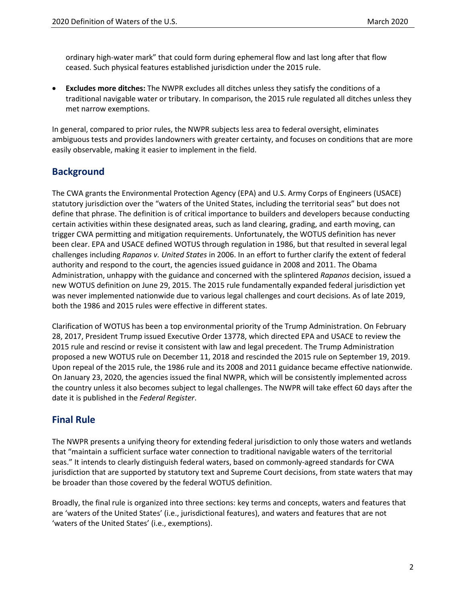ordinary high-water mark" that could form during ephemeral flow and last long after that flow ceased. Such physical features established jurisdiction under the 2015 rule.

• **Excludes more ditches:** The NWPR excludes all ditches unless they satisfy the conditions of a traditional navigable water or tributary. In comparison, the 2015 rule regulated all ditches unless they met narrow exemptions.

In general, compared to prior rules, the NWPR subjects less area to federal oversight, eliminates ambiguous tests and provides landowners with greater certainty, and focuses on conditions that are more easily observable, making it easier to implement in the field.

# **Background**

The CWA grants the Environmental Protection Agency (EPA) and U.S. Army Corps of Engineers (USACE) statutory jurisdiction over the "waters of the United States, including the territorial seas" but does not define that phrase. The definition is of critical importance to builders and developers because conducting certain activities within these designated areas, such as land clearing, grading, and earth moving, can trigger CWA permitting and mitigation requirements. Unfortunately, the WOTUS definition has never been clear. EPA and USACE defined WOTUS through regulation in 1986, but that resulted in several legal challenges including *Rapanos v. United States* in 2006. In an effort to further clarify the extent of federal authority and respond to the court, the agencies issued guidance in 2008 and 2011. The Obama Administration, unhappy with the guidance and concerned with the splintered *Rapanos* decision, issued a new WOTUS definition on June 29, 2015. The 2015 rule fundamentally expanded federal jurisdiction yet was never implemented nationwide due to various legal challenges and court decisions. As of late 2019, both the 1986 and 2015 rules were effective in different states.

Clarification of WOTUS has been a top environmental priority of the Trump Administration. On February 28, 2017, President Trump issued Executive Order 13778, which directed EPA and USACE to review the 2015 rule and rescind or revise it consistent with law and legal precedent. The Trump Administration proposed a new WOTUS rule on December 11, 2018 and rescinded the 2015 rule on September 19, 2019. Upon repeal of the 2015 rule, the 1986 rule and its 2008 and 2011 guidance became effective nationwide. On January 23, 2020, the agencies issued the final NWPR, which will be consistently implemented across the country unless it also becomes subject to legal challenges. The NWPR will take effect 60 days after the date it is published in the *Federal Register*.

# **Final Rule**

The NWPR presents a unifying theory for extending federal jurisdiction to only those waters and wetlands that "maintain a sufficient surface water connection to traditional navigable waters of the territorial seas." It intends to clearly distinguish federal waters, based on commonly-agreed standards for CWA jurisdiction that are supported by statutory text and Supreme Court decisions, from state waters that may be broader than those covered by the federal WOTUS definition.

Broadly, the final rule is organized into three sections: key terms and concepts, waters and features that are 'waters of the United States' (i.e., jurisdictional features), and waters and features that are not 'waters of the United States' (i.e., exemptions).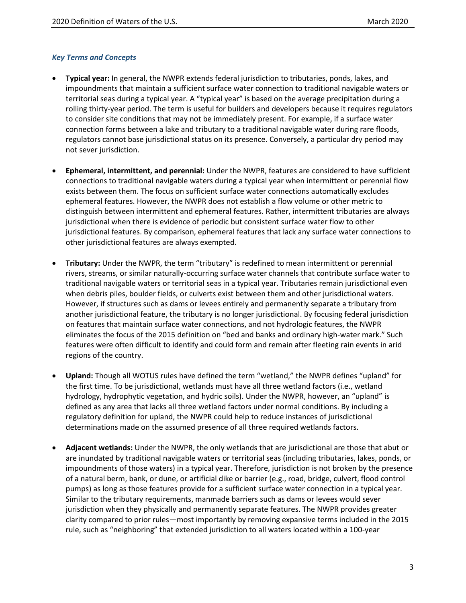#### *Key Terms and Concepts*

- **Typical year:** In general, the NWPR extends federal jurisdiction to tributaries, ponds, lakes, and impoundments that maintain a sufficient surface water connection to traditional navigable waters or territorial seas during a typical year. A "typical year" is based on the average precipitation during a rolling thirty-year period. The term is useful for builders and developers because it requires regulators to consider site conditions that may not be immediately present. For example, if a surface water connection forms between a lake and tributary to a traditional navigable water during rare floods, regulators cannot base jurisdictional status on its presence. Conversely, a particular dry period may not sever jurisdiction.
- **Ephemeral, intermittent, and perennial:** Under the NWPR, features are considered to have sufficient connections to traditional navigable waters during a typical year when intermittent or perennial flow exists between them. The focus on sufficient surface water connections automatically excludes ephemeral features. However, the NWPR does not establish a flow volume or other metric to distinguish between intermittent and ephemeral features. Rather, intermittent tributaries are always jurisdictional when there is evidence of periodic but consistent surface water flow to other jurisdictional features. By comparison, ephemeral features that lack any surface water connections to other jurisdictional features are always exempted.
- **Tributary:** Under the NWPR, the term "tributary" is redefined to mean intermittent or perennial rivers, streams, or similar naturally-occurring surface water channels that contribute surface water to traditional navigable waters or territorial seas in a typical year. Tributaries remain jurisdictional even when debris piles, boulder fields, or culverts exist between them and other jurisdictional waters. However, if structures such as dams or levees entirely and permanently separate a tributary from another jurisdictional feature, the tributary is no longer jurisdictional. By focusing federal jurisdiction on features that maintain surface water connections, and not hydrologic features, the NWPR eliminates the focus of the 2015 definition on "bed and banks and ordinary high-water mark." Such features were often difficult to identify and could form and remain after fleeting rain events in arid regions of the country.
- **Upland:** Though all WOTUS rules have defined the term "wetland," the NWPR defines "upland" for the first time. To be jurisdictional, wetlands must have all three wetland factors (i.e., wetland hydrology, hydrophytic vegetation, and hydric soils). Under the NWPR, however, an "upland" is defined as any area that lacks all three wetland factors under normal conditions. By including a regulatory definition for upland, the NWPR could help to reduce instances of jurisdictional determinations made on the assumed presence of all three required wetlands factors.
- **Adjacent wetlands:** Under the NWPR, the only wetlands that are jurisdictional are those that abut or are inundated by traditional navigable waters or territorial seas (including tributaries, lakes, ponds, or impoundments of those waters) in a typical year. Therefore, jurisdiction is not broken by the presence of a natural berm, bank, or dune, or artificial dike or barrier (e.g., road, bridge, culvert, flood control pumps) as long as those features provide for a sufficient surface water connection in a typical year. Similar to the tributary requirements, manmade barriers such as dams or levees would sever jurisdiction when they physically and permanently separate features. The NWPR provides greater clarity compared to prior rules―most importantly by removing expansive terms included in the 2015 rule, such as "neighboring" that extended jurisdiction to all waters located within a 100-year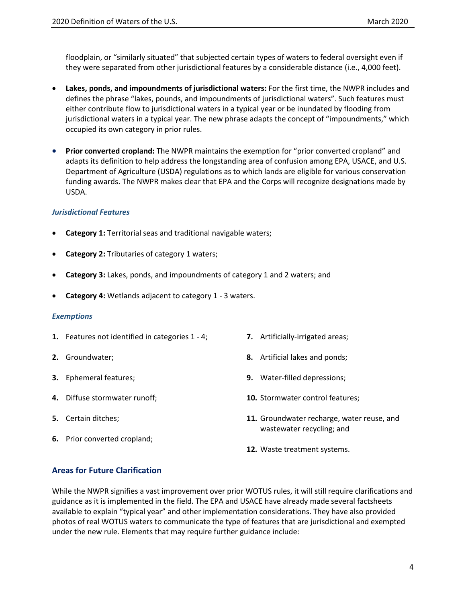floodplain, or "similarly situated" that subjected certain types of waters to federal oversight even if they were separated from other jurisdictional features by a considerable distance (i.e., 4,000 feet).

- **Lakes, ponds, and impoundments of jurisdictional waters:** For the first time, the NWPR includes and defines the phrase "lakes, pounds, and impoundments of jurisdictional waters". Such features must either contribute flow to jurisdictional waters in a typical year or be inundated by flooding from jurisdictional waters in a typical year. The new phrase adapts the concept of "impoundments," which occupied its own category in prior rules.
- **Prior converted cropland:** The NWPR maintains the exemption for "prior converted cropland" and adapts its definition to help address the longstanding area of confusion among EPA, USACE, and U.S. Department of Agriculture (USDA) regulations as to which lands are eligible for various conservation funding awards. The NWPR makes clear that EPA and the Corps will recognize designations made by USDA.

#### *Jurisdictional Features*

- **Category 1:** Territorial seas and traditional navigable waters;
- **Category 2: Tributaries of category 1 waters;**
- **Category 3:** Lakes, ponds, and impoundments of category 1 and 2 waters; and
- **Category 4:** Wetlands adjacent to category 1 3 waters.

#### *Exemptions*

- **1.** Features not identified in categories 1 4;
- **2.** Groundwater;
- **3.** Ephemeral features;
- **4.** Diffuse stormwater runoff;
- **5.** Certain ditches;
- **6.** Prior converted cropland;
- **7.** Artificially-irrigated areas;
- **8.** Artificial lakes and ponds;
- **9.** Water-filled depressions;
- **10.** Stormwater control features;
- **11.** Groundwater recharge, water reuse, and wastewater recycling; and
- **12.** Waste treatment systems.

#### **Areas for Future Clarification**

While the NWPR signifies a vast improvement over prior WOTUS rules, it will still require clarifications and guidance as it is implemented in the field. The EPA and USACE have already made several factsheets available to explain "typical year" and other implementation considerations. They have also provided photos of real WOTUS waters to communicate the type of features that are jurisdictional and exempted under the new rule. Elements that may require further guidance include: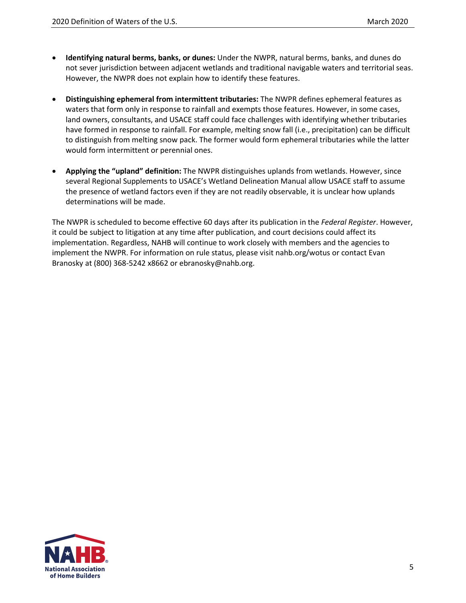- **Identifying natural berms, banks, or dunes:** Under the NWPR, natural berms, banks, and dunes do not sever jurisdiction between adjacent wetlands and traditional navigable waters and territorial seas. However, the NWPR does not explain how to identify these features.
- **Distinguishing ephemeral from intermittent tributaries:** The NWPR defines ephemeral features as waters that form only in response to rainfall and exempts those features. However, in some cases, land owners, consultants, and USACE staff could face challenges with identifying whether tributaries have formed in response to rainfall. For example, melting snow fall (i.e., precipitation) can be difficult to distinguish from melting snow pack. The former would form ephemeral tributaries while the latter would form intermittent or perennial ones.
- **Applying the "upland" definition:** The NWPR distinguishes uplands from wetlands. However, since several Regional Supplements to USACE's Wetland Delineation Manual allow USACE staff to assume the presence of wetland factors even if they are not readily observable, it is unclear how uplands determinations will be made.

The NWPR is scheduled to become effective 60 days after its publication in the *Federal Register*. However, it could be subject to litigation at any time after publication, and court decisions could affect its implementation. Regardless, NAHB will continue to work closely with members and the agencies to implement the NWPR. For information on rule status, please visit [nahb.org/wotus](https://www.nahb.org/Advocacy/Industry-Issues/Environment/Waters-of-the-US) or contact Evan Branosky at (800) 368-5242 x8662 or ebranosky@nahb.org.

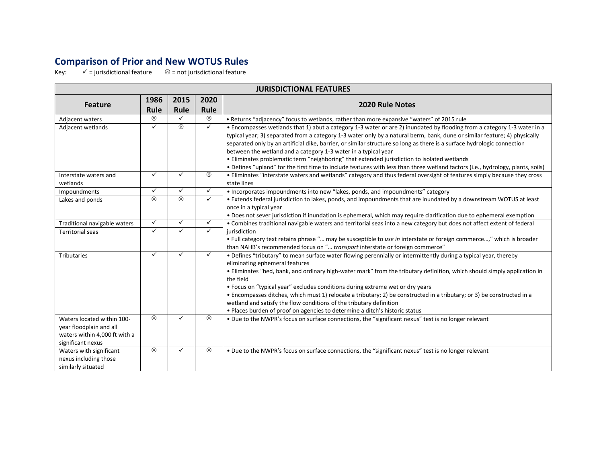## **Comparison of Prior and New WOTUS Rules**

Key:  $\checkmark$  = jurisdictional feature  $\otimes$  = not jurisdictional feature

| <b>JURISDICTIONAL FEATURES</b> |              |              |              |                                                                                                                                        |  |  |
|--------------------------------|--------------|--------------|--------------|----------------------------------------------------------------------------------------------------------------------------------------|--|--|
| <b>Feature</b>                 | 1986         | 2015         | 2020         | <b>2020 Rule Notes</b>                                                                                                                 |  |  |
|                                | Rule         | Rule         | Rule         |                                                                                                                                        |  |  |
| Adjacent waters                | $\otimes$    | ✓            | ⊗            | • Returns "adjacency" focus to wetlands, rather than more expansive "waters" of 2015 rule                                              |  |  |
| Adjacent wetlands              | ✓            | $\otimes$    | $\checkmark$ | • Encompasses wetlands that 1) abut a category 1-3 water or are 2) inundated by flooding from a category 1-3 water in a                |  |  |
|                                |              |              |              | typical year; 3) separated from a category 1-3 water only by a natural berm, bank, dune or similar feature; 4) physically              |  |  |
|                                |              |              |              | separated only by an artificial dike, barrier, or similar structure so long as there is a surface hydrologic connection                |  |  |
|                                |              |              |              | between the wetland and a category 1-3 water in a typical year                                                                         |  |  |
|                                |              |              |              | • Eliminates problematic term "neighboring" that extended jurisdiction to isolated wetlands                                            |  |  |
|                                |              |              |              | . Defines "upland" for the first time to include features with less than three wetland factors (i.e., hydrology, plants, soils)        |  |  |
| Interstate waters and          | $\checkmark$ | $\checkmark$ | ⊗            | . Eliminates "interstate waters and wetlands" category and thus federal oversight of features simply because they cross                |  |  |
| wetlands                       | $\checkmark$ | $\checkmark$ |              | state lines                                                                                                                            |  |  |
| Impoundments                   |              |              | $\checkmark$ | • Incorporates impoundments into new "lakes, ponds, and impoundments" category                                                         |  |  |
| Lakes and ponds                | $\otimes$    | $\otimes$    | ✓            | • Extends federal jurisdiction to lakes, ponds, and impoundments that are inundated by a downstream WOTUS at least                     |  |  |
|                                |              |              |              | once in a typical year                                                                                                                 |  |  |
|                                | $\checkmark$ | ✓            | $\checkmark$ | • Does not sever jurisdiction if inundation is ephemeral, which may require clarification due to ephemeral exemption                   |  |  |
| Traditional navigable waters   | ✓            | ✓            | $\checkmark$ | . Combines traditional navigable waters and territorial seas into a new category but does not affect extent of federal<br>iurisdiction |  |  |
| <b>Territorial seas</b>        |              |              |              | . Full category text retains phrase " may be susceptible to use in interstate or foreign commerce," which is broader                   |  |  |
|                                |              |              |              | than NAHB's recommended focus on " transport interstate or foreign commerce"                                                           |  |  |
| <b>Tributaries</b>             | ✓            | $\checkmark$ | ✓            | • Defines "tributary" to mean surface water flowing perennially or intermittently during a typical year, thereby                       |  |  |
|                                |              |              |              | eliminating ephemeral features                                                                                                         |  |  |
|                                |              |              |              | . Eliminates "bed, bank, and ordinary high-water mark" from the tributary definition, which should simply application in               |  |  |
|                                |              |              |              | the field                                                                                                                              |  |  |
|                                |              |              |              | • Focus on "typical year" excludes conditions during extreme wet or dry years                                                          |  |  |
|                                |              |              |              | • Encompasses ditches, which must 1) relocate a tributary; 2) be constructed in a tributary; or 3) be constructed in a                 |  |  |
|                                |              |              |              | wetland and satisfy the flow conditions of the tributary definition                                                                    |  |  |
|                                |              |              |              | • Places burden of proof on agencies to determine a ditch's historic status                                                            |  |  |
| Waters located within 100-     | $\otimes$    | ✓            | ⊗            | . Due to the NWPR's focus on surface connections, the "significant nexus" test is no longer relevant                                   |  |  |
| year floodplain and all        |              |              |              |                                                                                                                                        |  |  |
| waters within 4,000 ft with a  |              |              |              |                                                                                                                                        |  |  |
| significant nexus              |              |              |              |                                                                                                                                        |  |  |
| Waters with significant        | $\otimes$    | ✓            | ⊗            | . Due to the NWPR's focus on surface connections, the "significant nexus" test is no longer relevant                                   |  |  |
| nexus including those          |              |              |              |                                                                                                                                        |  |  |
| similarly situated             |              |              |              |                                                                                                                                        |  |  |